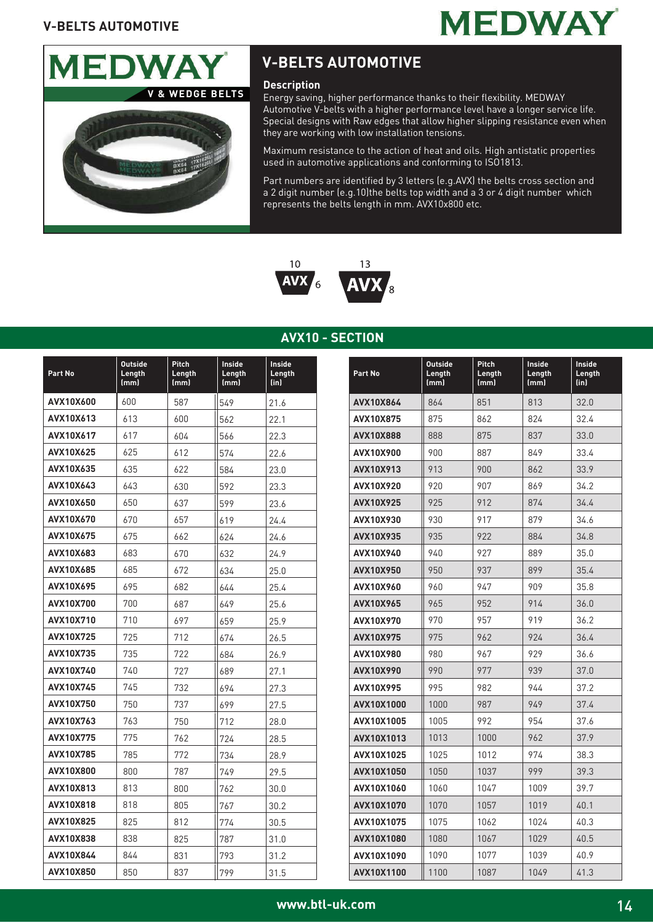



# **V-BELTS AUTOMOTIVE**

#### **Description**

Energy saving, higher performance thanks to their flexibility. MEDWAY Automotive V-belts with a higher performance level have a longer service life. Special designs with Raw edges that allow higher slipping resistance even when they are working with low installation tensions.

Maximum resistance to the action of heat and oils. High antistatic properties used in automotive applications and conforming to ISO1813.

Part numbers are identified by 3 letters (e.g.AVX) the belts cross section and a 2 digit number (e.g.10)the belts top width and a 3 or 4 digit number which represents the belts length in mm. AVX10x800 etc.



### **AVX10 - SECTION**

| Part No   | <b>Outside</b><br>Length<br>(mm) | <b>Pitch</b><br>Length<br>(mm) | Inside<br>Length<br>(mm) | Inside<br>Length<br>(in) | Part No          | <b>Outside</b><br>Length<br>(mm) | <b>Pitch</b><br>Length<br>(mm) | Inside<br>Length<br>(mm) | Inside<br>Length<br>(in) |
|-----------|----------------------------------|--------------------------------|--------------------------|--------------------------|------------------|----------------------------------|--------------------------------|--------------------------|--------------------------|
| AVX10X600 | 600                              | 587                            | 549                      | 21.6                     | AVX10X864        | 864                              | 851                            | 813                      | 32.0                     |
| AVX10X613 | 613                              | 600                            | 562                      | 22.1                     | AVX10X875        | 875                              | 862                            | 824                      | 32.4                     |
| AVX10X617 | 617                              | 604                            | 566                      | 22.3                     | <b>AVX10X888</b> | 888                              | 875                            | 837                      | 33.0                     |
| AVX10X625 | 625                              | 612                            | 574                      | 22.6                     | AVX10X900        | 900                              | 887                            | 849                      | 33.4                     |
| AVX10X635 | 635                              | 622                            | 584                      | 23.0                     | AVX10X913        | 913                              | 900                            | 862                      | 33.9                     |
| AVX10X643 | 643                              | 630                            | 592                      | 23.3                     | AVX10X920        | 920                              | 907                            | 869                      | 34.2                     |
| AVX10X650 | 650                              | 637                            | 599                      | 23.6                     | AVX10X925        | 925                              | 912                            | 874                      | 34.4                     |
| AVX10X670 | 670                              | 657                            | 619                      | 24.4                     | AVX10X930        | 930                              | 917                            | 879                      | 34.6                     |
| AVX10X675 | 675                              | 662                            | 624                      | 24.6                     | AVX10X935        | 935                              | 922                            | 884                      | 34.8                     |
| AVX10X683 | 683                              | 670                            | 632                      | 24.9                     | AVX10X940        | 940                              | 927                            | 889                      | 35.0                     |
| AVX10X685 | 685                              | 672                            | 634                      | 25.0                     | AVX10X950        | 950                              | 937                            | 899                      | 35.4                     |
| AVX10X695 | 695                              | 682                            | 644                      | 25.4                     | AVX10X960        | 960                              | 947                            | 909                      | 35.8                     |
| AVX10X700 | 700                              | 687                            | 649                      | 25.6                     | AVX10X965        | 965                              | 952                            | 914                      | 36.0                     |
| AVX10X710 | 710                              | 697                            | 659                      | 25.9                     | AVX10X970        | 970                              | 957                            | 919                      | 36.2                     |
| AVX10X725 | 725                              | 712                            | 674                      | 26.5                     | AVX10X975        | 975                              | 962                            | 924                      | 36.4                     |
| AVX10X735 | 735                              | 722                            | 684                      | 26.9                     | AVX10X980        | 980                              | 967                            | 929                      | 36.6                     |
| AVX10X740 | 740                              | 727                            | 689                      | 27.1                     | AVX10X990        | 990                              | 977                            | 939                      | 37.0                     |
| AVX10X745 | 745                              | 732                            | 694                      | 27.3                     | AVX10X995        | 995                              | 982                            | 944                      | 37.2                     |
| AVX10X750 | 750                              | 737                            | 699                      | 27.5                     | AVX10X1000       | 1000                             | 987                            | 949                      | 37.4                     |
| AVX10X763 | 763                              | 750                            | 712                      | 28.0                     | AVX10X1005       | 1005                             | 992                            | 954                      | 37.6                     |
| AVX10X775 | 775                              | 762                            | 724                      | 28.5                     | AVX10X1013       | 1013                             | 1000                           | 962                      | 37.9                     |
| AVX10X785 | 785                              | 772                            | 734                      | 28.9                     | AVX10X1025       | 1025                             | 1012                           | 974                      | 38.3                     |
| AVX10X800 | 800                              | 787                            | 749                      | 29.5                     | AVX10X1050       | 1050                             | 1037                           | 999                      | 39.3                     |
| AVX10X813 | 813                              | 800                            | 762                      | 30.0                     | AVX10X1060       | 1060                             | 1047                           | 1009                     | 39.7                     |
| AVX10X818 | 818                              | 805                            | 767                      | 30.2                     | AVX10X1070       | 1070                             | 1057                           | 1019                     | 40.1                     |
| AVX10X825 | 825                              | 812                            | 774                      | 30.5                     | AVX10X1075       | 1075                             | 1062                           | 1024                     | 40.3                     |
| AVX10X838 | 838                              | 825                            | 787                      | 31.0                     | AVX10X1080       | 1080                             | 1067                           | 1029                     | 40.5                     |
| AVX10X844 | 844                              | 831                            | 793                      | 31.2                     | AVX10X1090       | 1090                             | 1077                           | 1039                     | 40.9                     |
| AVX10X850 | 850                              | 837                            | 799                      | 31.5                     | AVX10X1100       | 1100                             | 1087                           | 1049                     | 41.3                     |